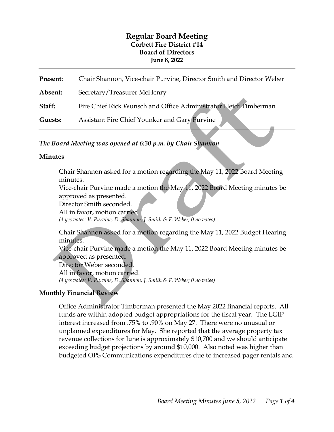# **Regular Board Meeting Corbett Fire District #14 Board of Directors June 8, 2022**

| Present: | Chair Shannon, Vice-chair Purvine, Director Smith and Director Weber |
|----------|----------------------------------------------------------------------|
| Absent:  | Secretary/Treasurer McHenry                                          |
| Staff:   | Fire Chief Rick Wunsch and Office Administrator Heidi Timberman      |
| Guests:  | Assistant Fire Chief Younker and Gary Purvine                        |

*The Board Meeting was opened at 6:30 p.m. by Chair Shannon*

### **Minutes**

Chair Shannon asked for a motion regarding the May 11, 2022 Board Meeting minutes.

Vice-chair Purvine made a motion the May 11, 2022 Board Meeting minutes be approved as presented.

Director Smith seconded.

All in favor, motion carried.

*(4 yes votes: V. Purvine, D. Shannon, J. Smith & F. Weber; 0 no votes)* 

Chair Shannon asked for a motion regarding the May 11, 2022 Budget Hearing minutes.

Vice-chair Purvine made a motion the May 11, 2022 Board Meeting minutes be approved as presented.

Director Weber seconded. All in favor, motion carried. *(4 yes votes: V. Purvine, D. Shannon, J. Smith & F. Weber; 0 no votes)* 

# **Monthly Financial Review**

Office Administrator Timberman presented the May 2022 financial reports. All funds are within adopted budget appropriations for the fiscal year. The LGIP interest increased from .75% to .90% on May 27. There were no unusual or unplanned expenditures for May. She reported that the average property tax revenue collections for June is approximately \$10,700 and we should anticipate exceeding budget projections by around \$10,000. Also noted was higher than budgeted OPS Communications expenditures due to increased pager rentals and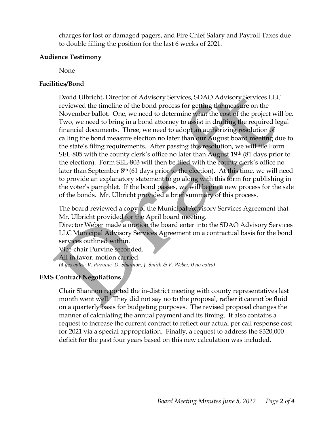charges for lost or damaged pagers, and Fire Chief Salary and Payroll Taxes due to double filling the position for the last 6 weeks of 2021.

#### **Audience Testimony**

None

## **Facilities/Bond**

David Ulbricht, Director of Advisory Services, SDAO Advisory Services LLC reviewed the timeline of the bond process for getting the measure on the November ballot. One, we need to determine what the cost of the project will be. Two, we need to bring in a bond attorney to assist in drafting the required legal financial documents. Three, we need to adopt an authorizing resolution of calling the bond measure election no later than our August board meeting due to the state's filing requirements. After passing this resolution, we will file Form SEL-805 with the county clerk's office no later than August  $19<sup>th</sup>$  (81 days prior to the election). Form SEL-803 will then be filed with the county clerk's office no later than September  $8<sup>th</sup>$  (61 days prior to the election). At this time, we will need to provide an explanatory statement to go along with this form for publishing in the voter's pamphlet. If the bond passes, we will begin a new process for the sale of the bonds. Mr. Ulbricht provided a brief summary of this process.

The board reviewed a copy of the Municipal Advisory Services Agreement that Mr. Ulbricht provided for the April board meeting.

Director Weber made a motion the board enter into the SDAO Advisory Services LLC Municipal Advisory Services Agreement on a contractual basis for the bond services outlined within.

Vice-chair Purvine seconded.

All in favor, motion carried.

*(4 yes votes: V. Purvine, D. Shannon, J. Smith & F. Weber; 0 no votes)* 

# **EMS Contract Negotiations**

Chair Shannon reported the in-district meeting with county representatives last month went well. They did not say no to the proposal, rather it cannot be fluid on a quarterly basis for budgeting purposes. The revised proposal changes the manner of calculating the annual payment and its timing. It also contains a request to increase the current contract to reflect our actual per call response cost for 2021 via a special appropriation. Finally, a request to address the \$320,000 deficit for the past four years based on this new calculation was included.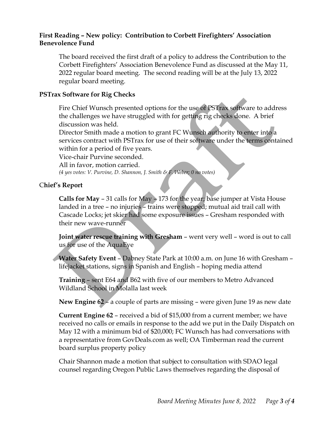## **First Reading – New policy: Contribution to Corbett Firefighters' Association Benevolence Fund**

The board received the first draft of a policy to address the Contribution to the Corbett Firefighters' Association Benevolence Fund as discussed at the May 11, 2022 regular board meeting. The second reading will be at the July 13, 2022 regular board meeting.

## **PSTrax Software for Rig Checks**

Fire Chief Wunsch presented options for the use of PSTrax software to address the challenges we have struggled with for getting rig checks done. A brief discussion was held.

Director Smith made a motion to grant FC Wunsch authority to enter into a services contract with PSTrax for use of their software under the terms contained within for a period of five years.

Vice-chair Purvine seconded.

All in favor, motion carried. *(4 yes votes: V. Purvine, D. Shannon, J. Smith & F. Weber; 0 no votes)* 

## C**hief's Report**

**Calls for May** – 31 calls for May – 173 for the year; base jumper at Vista House landed in a tree – no injuries – trains were stopped; mutual aid trail call with Cascade Locks; jet skier had some exposure issues – Gresham responded with their new wave-runner

**Joint water rescue training with Gresham** – went very well – word is out to call us for use of the AquaEye

**Water Safety Event** – Dabney State Park at 10:00 a.m. on June 16 with Gresham – lifejacket stations, signs in Spanish and English – hoping media attend

**Training** – sent E64 and B62 with five of our members to Metro Advanced Wildland School in Molalla last week

**New Engine 62** – a couple of parts are missing – were given June 19 as new date

**Current Engine 62** – received a bid of \$15,000 from a current member; we have received no calls or emails in response to the add we put in the Daily Dispatch on May 12 with a minimum bid of \$20,000; FC Wunsch has had conversations with a representative from GovDeals.com as well; OA Timberman read the current board surplus property policy

Chair Shannon made a motion that subject to consultation with SDAO legal counsel regarding Oregon Public Laws themselves regarding the disposal of